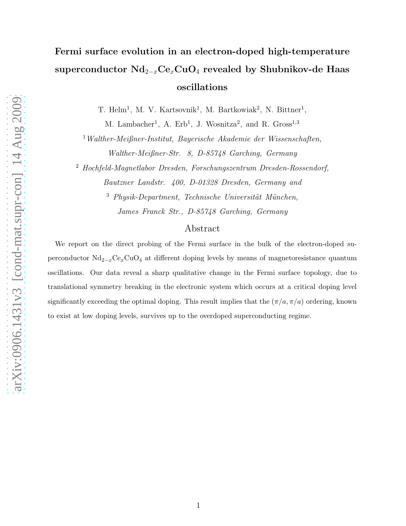## Fermi surface evolution in an electron-doped high-temperature superconductor  $Nd_{2-x}Ce_xCuO_4$  revealed by Shubnikov-de Haas oscillations

T. Helm<sup>1</sup>, M. V. Kartsovnik<sup>1</sup>, M. Bartkowiak<sup>2</sup>, N. Bittner<sup>1</sup>,

M. Lambacher<sup>1</sup>, A. Erb<sup>1</sup>, J. Wosnitza<sup>2</sup>, and R. Gross<sup>1,3</sup>

<sup>1</sup>Walther-Meißner-Institut, Bayerische Akademie der Wissenschaften, Walther-Meißner-Str. 8, D-85748 Garching, Germany

<sup>2</sup> Hochfeld-Magnetlabor Dresden, Forschungszentrum Dresden-Rossendorf,

Bautzner Landstr. 400, D-01328 Dresden, Germany and  $3$  Physik-Department, Technische Universität München, James Franck Str., D-85748 Garching, Germany

## Abstract

We report on the direct probing of the Fermi surface in the bulk of the electron-doped superconductor Nd2−xCexCuO<sup>4</sup> at different doping levels by means of magnetoresistance quantum oscillations. Our data reveal a sharp qualitative change in the Fermi surface topology, due to translational symmetry breaking in the electronic system which occurs at a critical doping level significantly exceeding the optimal doping. This result implies that the  $(\pi/a, \pi/a)$  ordering, known to exist at low doping levels, survives up to the overdoped superconducting regime.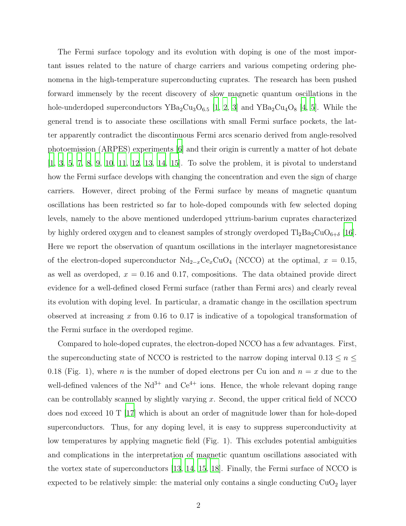The Fermi surface topology and its evolution with doping is one of the most important issues related to the nature of charge carriers and various competing ordering phenomena in the high-temperature superconducting cuprates. The research has been pushed forward immensely by the recent discovery of slow magnetic quantum oscillations in the hole-underdoped superconductors  $YBa_2Cu_3O_{6.5}$  [\[1,](#page-6-0) [2,](#page-6-1) [3](#page-6-2)] and  $YBa_2Cu_4O_8$  [\[4](#page-6-3), [5\]](#page-6-4). While the general trend is to associate these oscillations with small Fermi surface pockets, the latter apparently contradict the discontinuous Fermi arcs scenario derived from angle-resolved photoemission (ARPES) experiments [\[6](#page-6-5)] and their origin is currently a matter of hot debate [\[1](#page-6-0), [3](#page-6-2), [5,](#page-6-4) [7,](#page-6-6) [8,](#page-6-7) [9,](#page-6-8) [10,](#page-6-9) [11](#page-6-10), [12,](#page-6-11) [13,](#page-6-12) [14,](#page-6-13) [15](#page-6-14)]. To solve the problem, it is pivotal to understand how the Fermi surface develops with changing the concentration and even the sign of charge carriers. However, direct probing of the Fermi surface by means of magnetic quantum oscillations has been restricted so far to hole-doped compounds with few selected doping levels, namely to the above mentioned underdoped yttrium-barium cuprates characterized by highly ordered oxygen and to cleanest samples of strongly overdoped  $Tl_2Ba_2CuO_{6+\delta}$  [\[16\]](#page-6-15). Here we report the observation of quantum oscillations in the interlayer magnetoresistance of the electron-doped superconductor  $Nd_{2-x}Ce_xCuO_4$  (NCCO) at the optimal,  $x = 0.15$ , as well as overdoped,  $x = 0.16$  and 0.17, compositions. The data obtained provide direct evidence for a well-defined closed Fermi surface (rather than Fermi arcs) and clearly reveal its evolution with doping level. In particular, a dramatic change in the oscillation spectrum observed at increasing x from 0.16 to 0.17 is indicative of a topological transformation of the Fermi surface in the overdoped regime.

Compared to hole-doped cuprates, the electron-doped NCCO has a few advantages. First, the superconducting state of NCCO is restricted to the narrow doping interval  $0.13 \leq n \leq$ 0.18 (Fig. 1), where *n* is the number of doped electrons per Cu ion and  $n = x$  due to the well-defined valences of the  $Nd^{3+}$  and  $Ce^{4+}$  ions. Hence, the whole relevant doping range can be controllably scanned by slightly varying x. Second, the upper critical field of NCCO does nod exceed 10 T [\[17](#page-6-16)] which is about an order of magnitude lower than for hole-doped superconductors. Thus, for any doping level, it is easy to suppress superconductivity at low temperatures by applying magnetic field (Fig. 1). This excludes potential ambiguities and complications in the interpretation of magnetic quantum oscillations associated with the vortex state of superconductors [\[13](#page-6-12), [14](#page-6-13), [15](#page-6-14), [18](#page-6-17)]. Finally, the Fermi surface of NCCO is expected to be relatively simple: the material only contains a single conducting  $CuO<sub>2</sub>$  layer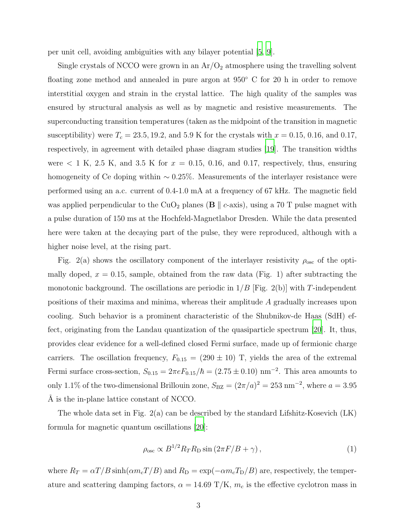per unit cell, avoiding ambiguities with any bilayer potential [\[5](#page-6-4), [9](#page-6-8)].

Single crystals of NCCO were grown in an  $Ar/O<sub>2</sub>$  atmosphere using the travelling solvent floating zone method and annealed in pure argon at 950° C for 20 h in order to remove interstitial oxygen and strain in the crystal lattice. The high quality of the samples was ensured by structural analysis as well as by magnetic and resistive measurements. The superconducting transition temperatures (taken as the midpoint of the transition in magnetic susceptibility) were  $T_c = 23.5, 19.2,$  and 5.9 K for the crystals with  $x = 0.15, 0.16,$  and 0.17, respectively, in agreement with detailed phase diagram studies [\[19\]](#page-6-18). The transition widths were  $\langle 1 \text{ K}, 2.5 \text{ K}, \text{ and } 3.5 \text{ K} \text{ for } x = 0.15, 0.16, \text{ and } 0.17, \text{ respectively, thus, ensuring}$ homogeneity of Ce doping within ∼ 0.25%. Measurements of the interlayer resistance were performed using an a.c. current of 0.4-1.0 mA at a frequency of 67 kHz. The magnetic field was applied perpendicular to the CuO<sub>2</sub> planes ( $\bf{B} \parallel c$ -axis), using a 70 T pulse magnet with a pulse duration of 150 ms at the Hochfeld-Magnetlabor Dresden. While the data presented here were taken at the decaying part of the pulse, they were reproduced, although with a higher noise level, at the rising part.

Fig. 2(a) shows the oscillatory component of the interlayer resistivity  $\rho_{osc}$  of the optimally doped,  $x = 0.15$ , sample, obtained from the raw data (Fig. 1) after subtracting the monotonic background. The oscillations are periodic in  $1/B$  [Fig. 2(b)] with T-independent positions of their maxima and minima, whereas their amplitude A gradually increases upon cooling. Such behavior is a prominent characteristic of the Shubnikov-de Haas (SdH) effect, originating from the Landau quantization of the quasiparticle spectrum [\[20\]](#page-6-19). It, thus, provides clear evidence for a well-defined closed Fermi surface, made up of fermionic charge carriers. The oscillation frequency,  $F_{0.15} = (290 \pm 10)$  T, yields the area of the extremal Fermi surface cross-section,  $S_{0.15} = 2\pi e F_{0.15}/\hbar = (2.75 \pm 0.10) \text{ nm}^{-2}$ . This area amounts to only 1.1% of the two-dimensional Brillouin zone,  $S_{\text{BZ}} = (2\pi/a)^2 = 253 \text{ nm}^{-2}$ , where  $a = 3.95$ A is the in-plane lattice constant of NCCO.

The whole data set in Fig.  $2(a)$  can be described by the standard Lifshitz-Kosevich  $(LK)$ formula for magnetic quantum oscillations [\[20](#page-6-19)]:

<span id="page-2-0"></span>
$$
\rho_{\rm osc} \propto B^{1/2} R_T R_D \sin \left(2\pi F / B + \gamma\right),\tag{1}
$$

where  $R_T = \alpha T/B \sinh(\alpha m_c T/B)$  and  $R_D = \exp(-\alpha m_c T_D/B)$  are, respectively, the temperature and scattering damping factors,  $\alpha = 14.69 \text{ T/K}$ ,  $m_c$  is the effective cyclotron mass in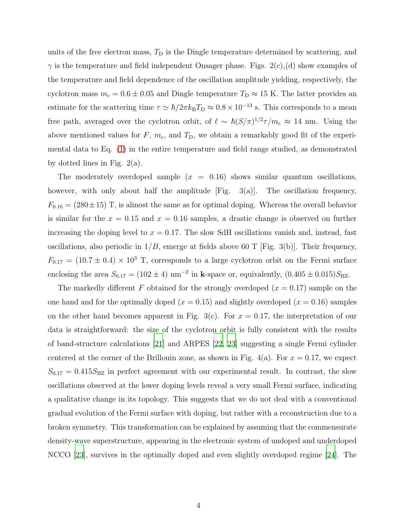units of the free electron mass,  $T<sub>D</sub>$  is the Dingle temperature determined by scattering, and  $\gamma$  is the temperature and field independent Onsager phase. Figs. 2(c),(d) show examples of the temperature and field dependence of the oscillation amplitude yielding, respectively, the cyclotron mass  $m_c = 0.6 \pm 0.05$  and Dingle temperature  $T_D \approx 15$  K. The latter provides an estimate for the scattering time  $\tau \simeq \hbar/2\pi k_{\rm B}T_{\rm D} \approx 0.8 \times 10^{-13}$  s. This corresponds to a mean free path, averaged over the cyclotron orbit, of  $\ell \sim \hbar (S/\pi)^{1/2} \tau/m_c \approx 14$  nm. Using the above mentioned values for  $F$ ,  $m_c$ , and  $T_D$ , we obtain a remarkably good fit of the experimental data to Eq. [\(1\)](#page-2-0) in the entire temperature and field range studied, as demonstrated by dotted lines in Fig. 2(a).

The moderately overdoped sample  $(x = 0.16)$  shows similar quantum oscillations, however, with only about half the amplitude  $[Fig. 3(a)]$ . The oscillation frequency,  $F_{0.16} = (280 \pm 15)$  T, is almost the same as for optimal doping. Whereas the overall behavior is similar for the  $x = 0.15$  and  $x = 0.16$  samples, a drastic change is observed on further increasing the doping level to  $x = 0.17$ . The slow SdH oscillations vanish and, instead, fast oscillations, also periodic in  $1/B$ , emerge at fields above 60 T [Fig. 3(b)]. Their frequency,  $F_{0.17} = (10.7 \pm 0.4) \times 10^3$  T, corresponds to a large cyclotron orbit on the Fermi surface enclosing the area  $S_{0.17} = (102 \pm 4) \text{ nm}^{-2}$  in k-space or, equivalently,  $(0.405 \pm 0.015)S_{\text{BZ}}$ .

The markedly different F obtained for the strongly overdoped  $(x = 0.17)$  sample on the one hand and for the optimally doped  $(x = 0.15)$  and slightly overdoped  $(x = 0.16)$  samples on the other hand becomes apparent in Fig. 3(c). For  $x = 0.17$ , the interpretation of our data is straightforward: the size of the cyclotron orbit is fully consistent with the results of band-structure calculations [\[21](#page-7-0)] and ARPES [\[22,](#page-7-1) [23](#page-7-2)] suggesting a single Fermi cylinder centered at the corner of the Brillouin zone, as shown in Fig. 4(a). For  $x = 0.17$ , we expect  $S_{0.17} = 0.415 S_{\text{BZ}}$  in perfect agreement with our experimental result. In contrast, the slow oscillations observed at the lower doping levels reveal a very small Fermi surface, indicating a qualitative change in its topology. This suggests that we do not deal with a conventional gradual evolution of the Fermi surface with doping, but rather with a reconstruction due to a broken symmetry. This transformation can be explained by assuming that the commensurate density-wave superstructure, appearing in the electronic system of undoped and underdoped NCCO [\[23](#page-7-2)], survives in the optimally doped and even slightly overdoped regime [\[24](#page-7-3)]. The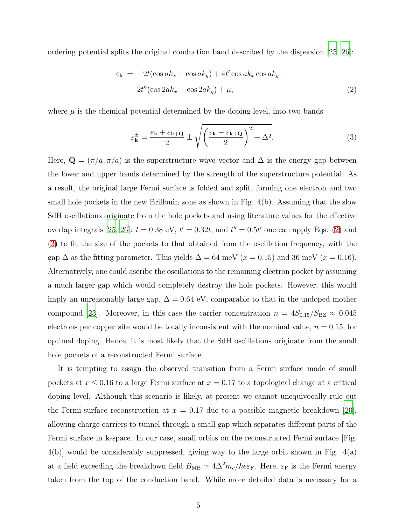ordering potential splits the original conduction band described by the dispersion [\[25](#page-7-4), [26\]](#page-7-5):

<span id="page-4-0"></span>
$$
\varepsilon_{\mathbf{k}} = -2t(\cos ak_x + \cos ak_y) + 4t'\cos ak_x\cos ak_y - 2t''(\cos 2ak_x + \cos 2ak_y) + \mu,
$$
\n(2)

where  $\mu$  is the chemical potential determined by the doping level, into two bands

<span id="page-4-1"></span>
$$
\varepsilon_{\mathbf{k}}^{\pm} = \frac{\varepsilon_{\mathbf{k}} + \varepsilon_{\mathbf{k} + \mathbf{Q}}}{2} \pm \sqrt{\left(\frac{\varepsilon_{\mathbf{k}} - \varepsilon_{\mathbf{k} + \mathbf{Q}}}{2}\right)^2 + \Delta^2}.
$$
 (3)

Here,  $\mathbf{Q} = (\pi/a, \pi/a)$  is the superstructure wave vector and  $\Delta$  is the energy gap between the lower and upper bands determined by the strength of the superstructure potential. As a result, the original large Fermi surface is folded and split, forming one electron and two small hole pockets in the new Brillouin zone as shown in Fig. 4(b). Assuming that the slow SdH oscillations originate from the hole pockets and using literature values for the effective overlap integrals [\[25,](#page-7-4) [26](#page-7-5)]:  $t = 0.38$  eV,  $t' = 0.32t$ , and  $t'' = 0.5t'$  one can apply Eqs. [\(2\)](#page-4-0) and [\(3\)](#page-4-1) to fit the size of the pockets to that obtained from the oscillation frequency, with the gap  $\Delta$  as the fitting parameter. This yields  $\Delta = 64$  meV ( $x = 0.15$ ) and 36 meV ( $x = 0.16$ ). Alternatively, one could ascribe the oscillations to the remaining electron pocket by assuming a much larger gap which would completely destroy the hole pockets. However, this would imply an unreasonably large gap,  $\Delta = 0.64$  eV, comparable to that in the undoped mother compound [\[23\]](#page-7-2). Moreover, in this case the carrier concentration  $n = 4S_{0.15}/S_{\text{BZ}} \approx 0.045$ electrons per copper site would be totally inconsistent with the nominal value,  $n = 0.15$ , for optimal doping. Hence, it is most likely that the SdH oscillations originate from the small hole pockets of a reconstructed Fermi surface.

It is tempting to assign the observed transition from a Fermi surface made of small pockets at  $x \leq 0.16$  to a large Fermi surface at  $x = 0.17$  to a topological change at a critical doping level. Although this scenario is likely, at present we cannot unequivocally rule out the Fermi-surface reconstruction at  $x = 0.17$  due to a possible magnetic breakdown [\[20\]](#page-6-19), allowing charge carriers to tunnel through a small gap which separates different parts of the Fermi surface in k-space. In our case, small orbits on the reconstructed Fermi surface [Fig. 4(b)] would be considerably suppressed, giving way to the large orbit shown in Fig. 4(a) at a field exceeding the breakdown field  $B_{\rm MB} \simeq 4 \Delta^2 m_c/\hbar e \varepsilon_{\rm F}$ . Here,  $\varepsilon_{\rm F}$  is the Fermi energy taken from the top of the conduction band. While more detailed data is necessary for a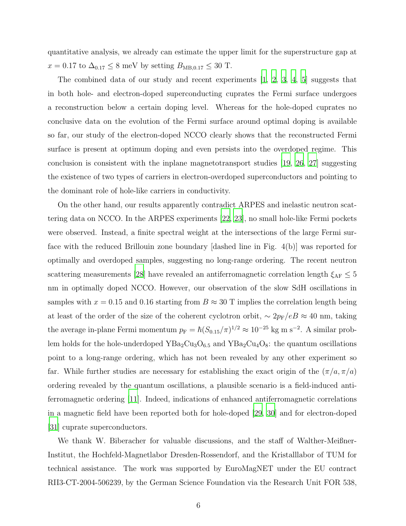quantitative analysis, we already can estimate the upper limit for the superstructure gap at  $x = 0.17$  to  $\Delta_{0.17} \le 8$  meV by setting  $B_{MB,0.17} \le 30$  T.

The combined data of our study and recent experiments [\[1,](#page-6-0) [2,](#page-6-1) [3](#page-6-2), [4](#page-6-3), [5](#page-6-4)] suggests that in both hole- and electron-doped superconducting cuprates the Fermi surface undergoes a reconstruction below a certain doping level. Whereas for the hole-doped cuprates no conclusive data on the evolution of the Fermi surface around optimal doping is available so far, our study of the electron-doped NCCO clearly shows that the reconstructed Fermi surface is present at optimum doping and even persists into the overdoped regime. This conclusion is consistent with the inplane magnetotransport studies [\[19,](#page-6-18) [26,](#page-7-5) [27\]](#page-7-6) suggesting the existence of two types of carriers in electron-overdoped superconductors and pointing to the dominant role of hole-like carriers in conductivity.

On the other hand, our results apparently contradict ARPES and inelastic neutron scattering data on NCCO. In the ARPES experiments [\[22,](#page-7-1) [23](#page-7-2)], no small hole-like Fermi pockets were observed. Instead, a finite spectral weight at the intersections of the large Fermi surface with the reduced Brillouin zone boundary [dashed line in Fig. 4(b)] was reported for optimally and overdoped samples, suggesting no long-range ordering. The recent neutron scattering measurements [\[28\]](#page-7-7) have revealed an antiferromagnetic correlation length  $\xi_{\rm AF} \leq 5$ nm in optimally doped NCCO. However, our observation of the slow SdH oscillations in samples with  $x = 0.15$  and 0.16 starting from  $B \approx 30$  T implies the correlation length being at least of the order of the size of the coherent cyclotron orbit,  $\sim 2p_{\rm F}/eB \approx 40$  nm, taking the average in-plane Fermi momentum  $p_F = \hbar (S_{0.15}/\pi)^{1/2} \approx 10^{-25}$  kg m s<sup>-2</sup>. A similar problem holds for the hole-underdoped  $YBa<sub>2</sub>Cu<sub>3</sub>O<sub>6.5</sub>$  and  $YBa<sub>2</sub>Cu<sub>4</sub>O<sub>8</sub>$ : the quantum oscillations point to a long-range ordering, which has not been revealed by any other experiment so far. While further studies are necessary for establishing the exact origin of the  $(\pi/a, \pi/a)$ ordering revealed by the quantum oscillations, a plausible scenario is a field-induced antiferromagnetic ordering [\[11](#page-6-10)]. Indeed, indications of enhanced antiferromagnetic correlations in a magnetic field have been reported both for hole-doped [\[29](#page-7-8), [30\]](#page-7-9) and for electron-doped [\[31](#page-7-10)] cuprate superconductors.

We thank W. Biberacher for valuable discussions, and the staff of Walther-Meißner-Institut, the Hochfeld-Magnetlabor Dresden-Rossendorf, and the Kristalllabor of TUM for technical assistance. The work was supported by EuroMagNET under the EU contract RII3-CT-2004-506239, by the German Science Foundation via the Research Unit FOR 538,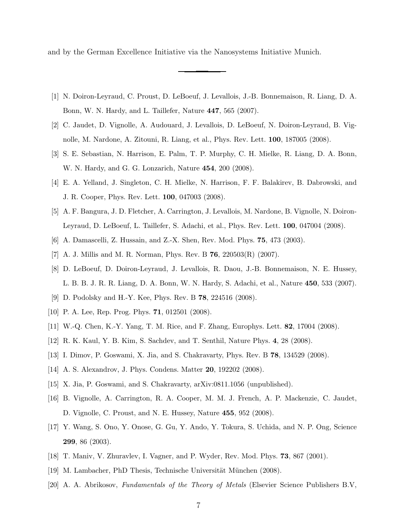and by the German Excellence Initiative via the Nanosystems Initiative Munich.

- <span id="page-6-0"></span>[1] N. Doiron-Leyraud, C. Proust, D. LeBoeuf, J. Levallois, J.-B. Bonnemaison, R. Liang, D. A. Bonn, W. N. Hardy, and L. Taillefer, Nature 447, 565 (2007).
- <span id="page-6-1"></span>[2] C. Jaudet, D. Vignolle, A. Audouard, J. Levallois, D. LeBoeuf, N. Doiron-Leyraud, B. Vignolle, M. Nardone, A. Zitouni, R. Liang, et al., Phys. Rev. Lett. 100, 187005 (2008).
- <span id="page-6-2"></span>[3] S. E. Sebastian, N. Harrison, E. Palm, T. P. Murphy, C. H. Mielke, R. Liang, D. A. Bonn, W. N. Hardy, and G. G. Lonzarich, Nature 454, 200 (2008).
- <span id="page-6-3"></span>[4] E. A. Yelland, J. Singleton, C. H. Mielke, N. Harrison, F. F. Balakirev, B. Dabrowski, and J. R. Cooper, Phys. Rev. Lett. 100, 047003 (2008).
- <span id="page-6-4"></span>[5] A. F. Bangura, J. D. Fletcher, A. Carrington, J. Levallois, M. Nardone, B. Vignolle, N. Doiron-Leyraud, D. LeBoeuf, L. Taillefer, S. Adachi, et al., Phys. Rev. Lett. 100, 047004 (2008).
- <span id="page-6-6"></span><span id="page-6-5"></span>[6] A. Damascelli, Z. Hussain, and Z.-X. Shen, Rev. Mod. Phys. 75, 473 (2003).
- <span id="page-6-7"></span>[7] A. J. Millis and M. R. Norman, Phys. Rev. B  $76$ ,  $220503(R)$  (2007).
- [8] D. LeBoeuf, D. Doiron-Leyraud, J. Levallois, R. Daou, J.-B. Bonnemaison, N. E. Hussey, L. B. B. J. R. R. Liang, D. A. Bonn, W. N. Hardy, S. Adachi, et al., Nature 450, 533 (2007).
- <span id="page-6-8"></span>[9] D. Podolsky and H.-Y. Kee, Phys. Rev. B 78, 224516 (2008).
- <span id="page-6-9"></span>[10] P. A. Lee, Rep. Prog. Phys. **71**, 012501 (2008).
- <span id="page-6-10"></span>[11] W.-Q. Chen, K.-Y. Yang, T. M. Rice, and F. Zhang, Europhys. Lett. 82, 17004 (2008).
- <span id="page-6-11"></span>[12] R. K. Kaul, Y. B. Kim, S. Sachdev, and T. Senthil, Nature Phys. 4, 28 (2008).
- <span id="page-6-13"></span><span id="page-6-12"></span>[13] I. Dimov, P. Goswami, X. Jia, and S. Chakravarty, Phys. Rev. B 78, 134529 (2008).
- [14] A. S. Alexandrov, J. Phys. Condens. Matter 20, 192202 (2008).
- <span id="page-6-14"></span>[15] X. Jia, P. Goswami, and S. Chakravarty, arXiv:0811.1056 (unpublished).
- <span id="page-6-15"></span>[16] B. Vignolle, A. Carrington, R. A. Cooper, M. M. J. French, A. P. Mackenzie, C. Jaudet, D. Vignolle, C. Proust, and N. E. Hussey, Nature 455, 952 (2008).
- <span id="page-6-16"></span>[17] Y. Wang, S. Ono, Y. Onose, G. Gu, Y. Ando, Y. Tokura, S. Uchida, and N. P. Ong, Science 299, 86 (2003).
- <span id="page-6-17"></span>[18] T. Maniv, V. Zhuravlev, I. Vagner, and P. Wyder, Rev. Mod. Phys. 73, 867 (2001).
- <span id="page-6-18"></span>[19] M. Lambacher, PhD Thesis, Technische Universität München (2008).
- <span id="page-6-19"></span>[20] A. A. Abrikosov, Fundamentals of the Theory of Metals (Elsevier Science Publishers B.V,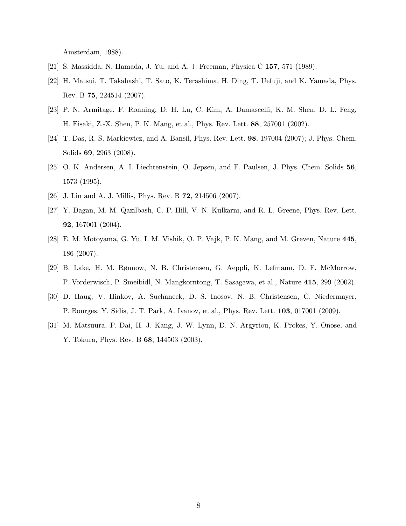Amsterdam, 1988).

- <span id="page-7-1"></span><span id="page-7-0"></span>[21] S. Massidda, N. Hamada, J. Yu, and A. J. Freeman, Physica C 157, 571 (1989).
- [22] H. Matsui, T. Takahashi, T. Sato, K. Terashima, H. Ding, T. Uefuji, and K. Yamada, Phys. Rev. B 75, 224514 (2007).
- <span id="page-7-2"></span>[23] P. N. Armitage, F. Ronning, D. H. Lu, C. Kim, A. Damascelli, K. M. Shen, D. L. Feng, H. Eisaki, Z.-X. Shen, P. K. Mang, et al., Phys. Rev. Lett. 88, 257001 (2002).
- <span id="page-7-3"></span>[24] T. Das, R. S. Markiewicz, and A. Bansil, Phys. Rev. Lett. 98, 197004 (2007); J. Phys. Chem. Solids 69, 2963 (2008).
- <span id="page-7-4"></span>[25] O. K. Andersen, A. I. Liechtenstein, O. Jepsen, and F. Paulsen, J. Phys. Chem. Solids 56, 1573 (1995).
- <span id="page-7-6"></span><span id="page-7-5"></span>[26] J. Lin and A. J. Millis, Phys. Rev. B 72, 214506 (2007).
- [27] Y. Dagan, M. M. Qazilbash, C. P. Hill, V. N. Kulkarni, and R. L. Greene, Phys. Rev. Lett. 92, 167001 (2004).
- <span id="page-7-7"></span>[28] E. M. Motoyama, G. Yu, I. M. Vishik, O. P. Vajk, P. K. Mang, and M. Greven, Nature 445, 186 (2007).
- <span id="page-7-8"></span>[29] B. Lake, H. M. Rønnow, N. B. Christensen, G. Aeppli, K. Lefmann, D. F. McMorrow, P. Vorderwisch, P. Smeibidl, N. Mangkorntong, T. Sasagawa, et al., Nature 415, 299 (2002).
- <span id="page-7-9"></span>[30] D. Haug, V. Hinkov, A. Suchaneck, D. S. Inosov, N. B. Christensen, C. Niedermayer, P. Bourges, Y. Sidis, J. T. Park, A. Ivanov, et al., Phys. Rev. Lett. 103, 017001 (2009).
- <span id="page-7-10"></span>[31] M. Matsuura, P. Dai, H. J. Kang, J. W. Lynn, D. N. Argyriou, K. Prokes, Y. Onose, and Y. Tokura, Phys. Rev. B 68, 144503 (2003).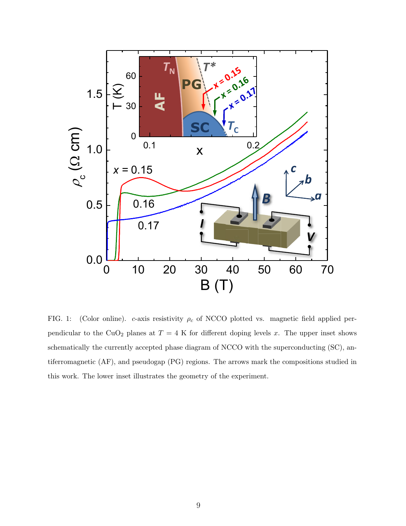

FIG. 1: (Color online). c-axis resistivity  $\rho_c$  of NCCO plotted vs. magnetic field applied perpendicular to the CuO<sub>2</sub> planes at  $T = 4$  K for different doping levels x. The upper inset shows schematically the currently accepted phase diagram of NCCO with the superconducting (SC), antiferromagnetic (AF), and pseudogap (PG) regions. The arrows mark the compositions studied in this work. The lower inset illustrates the geometry of the experiment.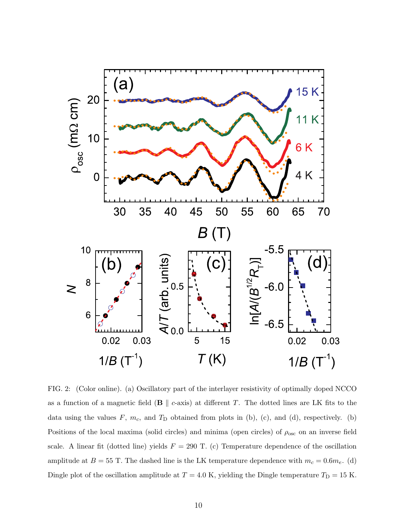

FIG. 2: (Color online). (a) Oscillatory part of the interlayer resistivity of optimally doped NCCO as a function of a magnetic field ( $\bf{B} \parallel c$ -axis) at different T. The dotted lines are LK fits to the data using the values  $F$ ,  $m_c$ , and  $T_D$  obtained from plots in (b), (c), and (d), respectively. (b) Positions of the local maxima (solid circles) and minima (open circles) of  $\rho_{\rm osc}$  on an inverse field scale. A linear fit (dotted line) yields  $F = 290$  T. (c) Temperature dependence of the oscillation amplitude at  $B = 55$  T. The dashed line is the LK temperature dependence with  $m_c = 0.6m_e$ . (d) Dingle plot of the oscillation amplitude at  $T = 4.0$  K, yielding the Dingle temperature  $T_D = 15$  K.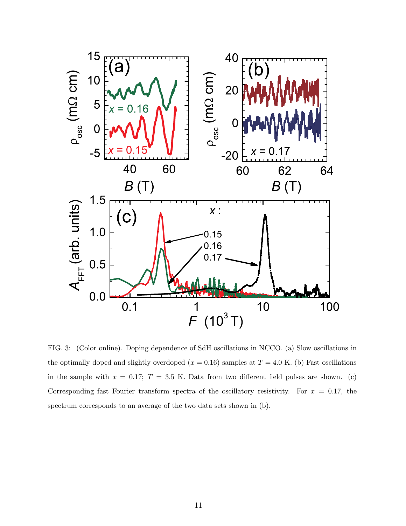

FIG. 3: (Color online). Doping dependence of SdH oscillations in NCCO. (a) Slow oscillations in the optimally doped and slightly overdoped  $(x = 0.16)$  samples at  $T = 4.0$  K. (b) Fast oscillations in the sample with  $x = 0.17$ ;  $T = 3.5$  K. Data from two different field pulses are shown. (c) Corresponding fast Fourier transform spectra of the oscillatory resistivity. For  $x = 0.17$ , the spectrum corresponds to an average of the two data sets shown in (b).